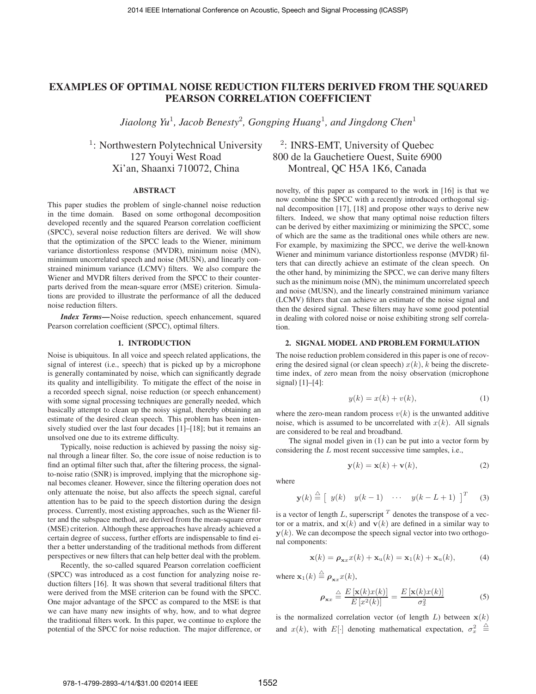# **EXAMPLES OF OPTIMAL NOISE REDUCTION FILTERS DERIVED FROM THE SQUARED PEARSON CORRELATION COEFFICIENT**

*Jiaolong Yu*<sup>1</sup>*, Jacob Benesty*<sup>2</sup>*, Gongping Huang*<sup>1</sup>*, and Jingdong Chen*<sup>1</sup>

<sup>1</sup>: Northwestern Polytechnical University  $\frac{2}{\cdot}$  INRS-EMT, University of Quebec

## **ABSTRACT**

This paper studies the problem of single-channel noise reduction in the time domain. Based on some orthogonal decomposition developed recently and the squared Pearson correlation coefficient (SPCC), several noise reduction filters are derived. We will show that the optimization of the SPCC leads to the Wiener, minimum variance distortionless response (MVDR), minimum noise (MN), minimum uncorrelated speech and noise (MUSN), and linearly constrained minimum variance (LCMV) filters. We also compare the Wiener and MVDR filters derived from the SPCC to their counterparts derived from the mean-square error (MSE) criterion. Simulations are provided to illustrate the performance of all the deduced noise reduction filters.

*Index Terms***—**Noise reduction, speech enhancement, squared Pearson correlation coefficient (SPCC), optimal filters.

## **1. INTRODUCTION**

Noise is ubiquitous. In all voice and speech related applications, the signal of interest (i.e., speech) that is picked up by a microphone is generally contaminated by noise, which can significantly degrade its quality and intelligibility. To mitigate the effect of the noise in a recorded speech signal, noise reduction (or speech enhancement) with some signal processing techniques are generally needed, which basically attempt to clean up the noisy signal, thereby obtaining an estimate of the desired clean speech. This problem has been intensively studied over the last four decades [1]–[18]; but it remains an unsolved one due to its extreme difficulty.

Typically, noise reduction is achieved by passing the noisy signal through a linear filter. So, the core issue of noise reduction is to find an optimal filter such that, after the filtering process, the signalto-noise ratio (SNR) is improved, implying that the microphone signal becomes cleaner. However, since the filtering operation does not only attenuate the noise, but also affects the speech signal, careful attention has to be paid to the speech distortion during the design process. Currently, most existing approaches, such as the Wiener filter and the subspace method, are derived from the mean-square error (MSE) criterion. Although these approaches have already achieved a certain degree of success, further efforts are indispensable to find either a better understanding of the traditional methods from different perspectives or new filters that can help better deal with the problem.

Recently, the so-called squared Pearson correlation coefficient (SPCC) was introduced as a cost function for analyzing noise reduction filters [16]. It was shown that several traditional filters that were derived from the MSE criterion can be found with the SPCC. One major advantage of the SPCC as compared to the MSE is that we can have many new insights of why, how, and to what degree the traditional filters work. In this paper, we continue to explore the potential of the SPCC for noise reduction. The major difference, or

127 Youyi West Road 800 de la Gauchetiere Ouest, Suite 6900 Xi'an, Shaanxi 710072, China Montreal, QC H5A 1K6, Canada

> novelty, of this paper as compared to the work in [16] is that we now combine the SPCC with a recently introduced orthogonal signal decomposition [17], [18] and propose other ways to derive new filters. Indeed, we show that many optimal noise reduction filters can be derived by either maximizing or minimizing the SPCC, some of which are the same as the traditional ones while others are new. For example, by maximizing the SPCC, we derive the well-known Wiener and minimum variance distortionless response (MVDR) filters that can directly achieve an estimate of the clean speech. On the other hand, by minimizing the SPCC, we can derive many filters such as the minimum noise (MN), the minimum uncorrelated speech and noise (MUSN), and the linearly constrained minimum variance (LCMV) filters that can achieve an estimate of the noise signal and then the desired signal. These filters may have some good potential in dealing with colored noise or noise exhibiting strong self correlation.

## **2. SIGNAL MODEL AND PROBLEM FORMULATION**

The noise reduction problem considered in this paper is one of recovering the desired signal (or clean speech)  $x(k)$ , k being the discretetime index, of zero mean from the noisy observation (microphone signal) [1]–[4]:

$$
y(k) = x(k) + v(k),\tag{1}
$$

where the zero-mean random process  $v(k)$  is the unwanted additive noise, which is assumed to be uncorrelated with  $x(k)$ . All signals are considered to be real and broadband.

The signal model given in (1) can be put into a vector form by considering the L most recent successive time samples, i.e.,

$$
\mathbf{y}(k) = \mathbf{x}(k) + \mathbf{v}(k),\tag{2}
$$

where

$$
\mathbf{y}(k) \stackrel{\triangle}{=} \left[ y(k) \quad y(k-1) \quad \cdots \quad y(k-L+1) \right]^T \quad (3)
$$

is a vector of length  $L$ , superscript  $T$  denotes the transpose of a vector or a matrix, and  $\mathbf{x}(k)$  and  $\mathbf{v}(k)$  are defined in a similar way to  $y(k)$ . We can decompose the speech signal vector into two orthogonal components:

$$
\mathbf{x}(k) = \boldsymbol{\rho}_{\mathbf{x}x} x(k) + \mathbf{x}_{\mathbf{u}}(k) = \mathbf{x}_{1}(k) + \mathbf{x}_{\mathbf{u}}(k),
$$
 (4)

where  $\mathbf{x}_1(k) \stackrel{\triangle}{=} \boldsymbol{\rho}_{\mathbf{x}x}x(k)$ ,

$$
\rho_{xx} \stackrel{\triangle}{=} \frac{E\left[\mathbf{x}(k)x(k)\right]}{E\left[x^2(k)\right]} = \frac{E\left[\mathbf{x}(k)x(k)\right]}{\sigma_x^2} \tag{5}
$$

is the normalized correlation vector (of length  $L$ ) between  $\mathbf{x}(k)$ and  $x(k)$ , with  $E[\cdot]$  denoting mathematical expectation,  $\sigma_x^2$  $\triangleq$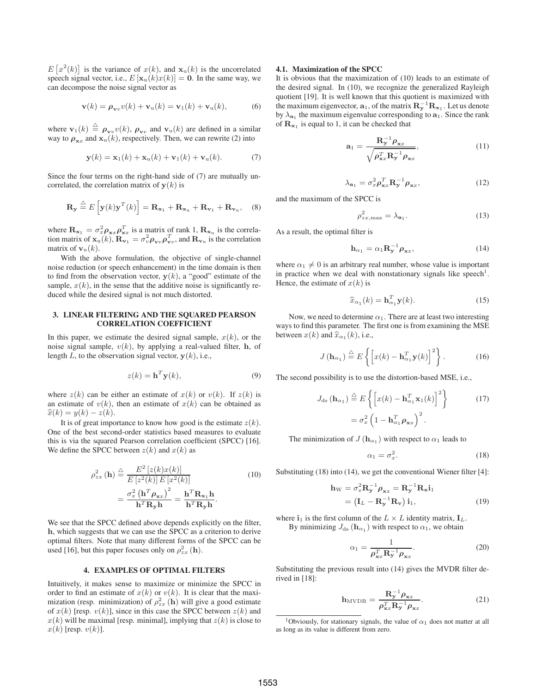$E[x^2(k)]$  is the variance of  $x(k)$ , and  $x_u(k)$  is the uncorrelated speech signal vector, i.e.,  $E[\mathbf{x}_u(k)x(k)] = 0$ . In the same way, we can decompose the noise signal vector as

$$
\mathbf{v}(k) = \boldsymbol{\rho}_{\mathbf{v}v}v(k) + \mathbf{v}_{\mathbf{u}}(k) = \mathbf{v}_{1}(k) + \mathbf{v}_{\mathbf{u}}(k),
$$
 (6)

where  $\mathbf{v}_1(k) \triangleq \boldsymbol{\rho}_{\mathbf{v}v}(k)$ ,  $\boldsymbol{\rho}_{\mathbf{v}v}$  and  $\mathbf{v}_u(k)$  are defined in a similar way to  $\rho_{xx}$  and  $\mathbf{x}_u(k)$ , respectively. Then, we can rewrite (2) into

$$
\mathbf{y}(k) = \mathbf{x}_1(k) + \mathbf{x}_u(k) + \mathbf{v}_1(k) + \mathbf{v}_u(k). \tag{7}
$$

Since the four terms on the right-hand side of (7) are mutually uncorrelated, the correlation matrix of  $y(k)$  is

$$
\mathbf{R}_{\mathbf{y}} \stackrel{\triangle}{=} E\left[\mathbf{y}(k)\mathbf{y}^{T}(k)\right] = \mathbf{R}_{\mathbf{x}_{1}} + \mathbf{R}_{\mathbf{x}_{u}} + \mathbf{R}_{\mathbf{v}_{1}} + \mathbf{R}_{\mathbf{v}_{u}}, \quad (8)
$$

where  $\mathbf{R}_{\mathbf{x}_1} = \sigma_x^2 \rho_{\mathbf{x}x} \rho_{\mathbf{x}x}^T$  is a matrix of rank 1,  $\mathbf{R}_{\mathbf{x}_u}$  is the correlation matrix of  $\mathbf{x}_u(k), \mathbf{R}_{\mathbf{v}_1} = \sigma_v^2 \rho_{\mathbf{v}_v} \rho_{\mathbf{v}_v}^T$ , and  $\mathbf{R}_{\mathbf{v}_u}$  is the correlation matrix of  $\mathbf{v}_u(k)$ .

With the above formulation, the objective of single-channel noise reduction (or speech enhancement) in the time domain is then to find from the observation vector,  $y(k)$ , a "good" estimate of the sample,  $x(k)$ , in the sense that the additive noise is significantly reduced while the desired signal is not much distorted.

## **3. LINEAR FILTERING AND THE SQUARED PEARSON CORRELATION COEFFICIENT**

In this paper, we estimate the desired signal sample,  $x(k)$ , or the noise signal sample,  $v(k)$ , by applying a real-valued filter, **h**, of length  $L$ , to the observation signal vector,  $y(k)$ , i.e.,

$$
z(k) = \mathbf{h}^T \mathbf{y}(k),\tag{9}
$$

where  $z(k)$  can be either an estimate of  $x(k)$  or  $v(k)$ . If  $z(k)$  is an estimate of  $v(k)$ , then an estimate of  $x(k)$  can be obtained as  $\widehat{x}(k) = y(k) - z(k).$ 

It is of great importance to know how good is the estimate  $z(k)$ . One of the best second-order statistics based measures to evaluate this is via the squared Pearson correlation coefficient (SPCC) [16]. We define the SPCC between  $z(k)$  and  $x(k)$  as

$$
\rho_{zx}^{2}(\mathbf{h}) \stackrel{\triangle}{=} \frac{E^{2}[z(k)x(k)]}{E[z^{2}(k)]E[x^{2}(k)]}
$$
\n
$$
= \frac{\sigma_{x}^{2}(\mathbf{h}^{T}\boldsymbol{\rho}_{\mathbf{x}x})^{2}}{\mathbf{h}^{T}\mathbf{R}_{\mathbf{y}}\mathbf{h}} = \frac{\mathbf{h}^{T}\mathbf{R}_{\mathbf{x}_{1}}\mathbf{h}}{\mathbf{h}^{T}\mathbf{R}_{\mathbf{y}}\mathbf{h}}.
$$
\n(10)

We see that the SPCC defined above depends explicitly on the filter, **h**, which suggests that we can use the SPCC as a criterion to derive optimal filters. Note that many different forms of the SPCC can be used [16], but this paper focuses only on  $\rho_{xx}^2$  (h).

## **4. EXAMPLES OF OPTIMAL FILTERS**

Intuitively, it makes sense to maximize or minimize the SPCC in order to find an estimate of  $x(k)$  or  $v(k)$ . It is clear that the maximization (resp. minimization) of  $\rho_{zx}^2$  (**h**) will give a good estimate of  $x(k)$  [resp.  $v(k)$ ], since in this case the SPCC between  $z(k)$  and  $x(k)$  will be maximal [resp. minimal], implying that  $z(k)$  is close to  $x(k)$  [resp.  $v(k)$ ].

#### **4.1. Maximization of the SPCC**

It is obvious that the maximization of (10) leads to an estimate of the desired signal. In (10), we recognize the generalized Rayleigh quotient [19]. It is well known that this quotient is maximized with the maximum eigenvector,  $\mathbf{a}_1$ , of the matrix  $\mathbf{R}_{\mathbf{y}}^{-1} \mathbf{R}_{\mathbf{x}_1}$ . Let us denote by  $\lambda_{a_1}$  the maximum eigenvalue corresponding to  $a_1$ . Since the rank of  $\mathbf{R}_{\mathbf{x}_1}$  is equal to 1, it can be checked that

$$
\mathbf{a}_1 = \frac{\mathbf{R}_\mathbf{y}^{-1} \rho_{\mathbf{x}x}}{\sqrt{\rho_{\mathbf{x}x}^T \mathbf{R}_\mathbf{y}^{-1} \rho_{\mathbf{x}x}}},\tag{11}
$$

$$
\lambda_{\mathbf{a}_1} = \sigma_x^2 \rho_{\mathbf{x}x}^T \mathbf{R}_{\mathbf{y}}^{-1} \rho_{\mathbf{x}x},\tag{12}
$$

and the maximum of the SPCC is

$$
\rho_{zx,\max}^2 = \lambda_{\mathbf{a}_1}.\tag{13}
$$

As a result, the optimal filter is

$$
\mathbf{h}_{\alpha_1} = \alpha_1 \mathbf{R}_{\mathbf{y}}^{-1} \boldsymbol{\rho}_{\mathbf{x}x},\tag{14}
$$

where  $\alpha_1 \neq 0$  is an arbitrary real number, whose value is important in practice when we deal with nonstationary signals like speech<sup>1</sup>. Hence, the estimate of  $x(k)$  is

$$
\widehat{x}_{\alpha_1}(k) = \mathbf{h}_{\alpha_1}^T \mathbf{y}(k). \tag{15}
$$

Now, we need to determine  $\alpha_1$ . There are at least two interesting ways to find this parameter. The first one is from examining the MSE between  $x(k)$  and  $\hat{x}_{\alpha_1}(k)$ , i.e.,

$$
J(\mathbf{h}_{\alpha_1}) \stackrel{\triangle}{=} E\left\{ \left[ x(k) - \mathbf{h}_{\alpha_1}^T \mathbf{y}(k) \right]^2 \right\}.
$$
 (16)

The second possibility is to use the distortion-based MSE, i.e.,

$$
J_{\rm ds} \left( \mathbf{h}_{\alpha_1} \right) \stackrel{\triangle}{=} E \left\{ \left[ x(k) - \mathbf{h}_{\alpha_1}^T \mathbf{x}_1(k) \right]^2 \right\} \tag{17}
$$

$$
= \sigma_x^2 \left( 1 - \mathbf{h}_{\alpha_1}^T \boldsymbol{\rho}_{xx} \right)^2.
$$

The minimization of  $J(\mathbf{h}_{\alpha_1})$  with respect to  $\alpha_1$  leads to

$$
\alpha_1 = \sigma_x^2. \tag{18}
$$

Substituting (18) into (14), we get the conventional Wiener filter [4]:

$$
\mathbf{h}_{\mathbf{W}} = \sigma_x^2 \mathbf{R}_{\mathbf{y}}^{-1} \rho_{\mathbf{x}x} = \mathbf{R}_{\mathbf{y}}^{-1} \mathbf{R}_{\mathbf{x}} \mathbf{i}_1
$$
  
=  $(\mathbf{I}_L - \mathbf{R}_{\mathbf{y}}^{-1} \mathbf{R}_{\mathbf{v}}) \mathbf{i}_1,$  (19)

where  $\mathbf{i}_1$  is the first column of the  $L \times L$  identity matrix,  $\mathbf{I}_L$ .

By minimizing  $J_{ds}$  ( $\mathbf{h}_{\alpha_1}$ ) with respect to  $\alpha_1$ , we obtain

$$
\alpha_1 = \frac{1}{\rho_{xx}^T \mathbf{R}_y^{-1} \rho_{xx}}.\tag{20}
$$

Substituting the previous result into (14) gives the MVDR filter derived in [18]:

$$
h_{\text{MVDR}} = \frac{R_y^{-1} \rho_{xx}}{\rho_{xx}^T R_y^{-1} \rho_{xx}}.
$$
 (21)

<sup>&</sup>lt;sup>1</sup>Obviously, for stationary signals, the value of  $\alpha_1$  does not matter at all as long as its value is different from zero.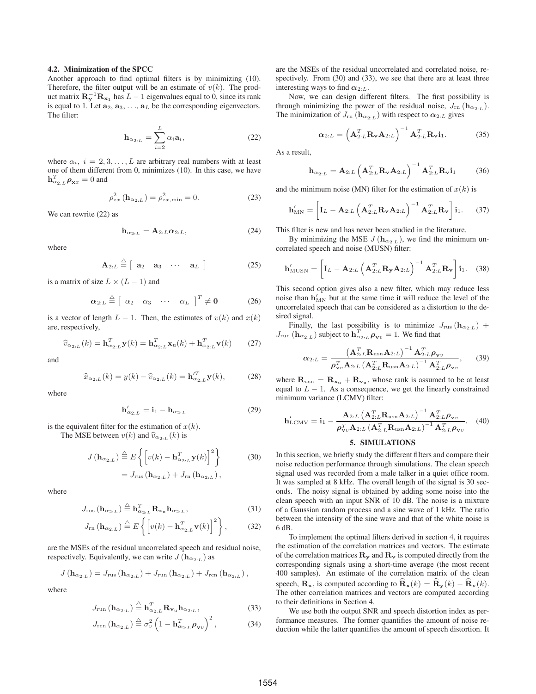#### **4.2. Minimization of the SPCC**

Another approach to find optimal filters is by minimizing (10). Therefore, the filter output will be an estimate of  $v(k)$ . The product matrix  $\mathbf{R}_{\mathbf{y}}^{-1} \mathbf{R}_{\mathbf{x}_1}$  has  $L - 1$  eigenvalues equal to 0, since its rank is equal to 1. Let  $\mathbf{a}_2, \mathbf{a}_3, \ldots, \mathbf{a}_L$  be the corresponding eigenvectors. The filter:

$$
\mathbf{h}_{\alpha_{2:L}} = \sum_{i=2}^{L} \alpha_i \mathbf{a}_i, \qquad (22)
$$

where  $\alpha_i$ ,  $i = 2, 3, \ldots, L$  are arbitrary real numbers with at least one of them different from 0, minimizes (10). In this case, we have  $h_{\alpha_{2:L}}^T \rho_{\mathbf{x}x} = 0$  and

$$
\rho_{zx}^2 \left( \mathbf{h}_{\alpha_{2:L}} \right) = \rho_{zx,\min}^2 = 0. \tag{23}
$$

We can rewrite (22) as

$$
\mathbf{h}_{\alpha_{2:L}} = \mathbf{A}_{2:L} \alpha_{2:L},\tag{24}
$$

where

$$
\mathbf{A}_{2:L} \stackrel{\triangle}{=} \left[ \begin{array}{cccc} \mathbf{a}_2 & \mathbf{a}_3 & \cdots & \mathbf{a}_L \end{array} \right] \tag{25}
$$

is a matrix of size  $L \times (L-1)$  and

$$
\alpha_{2:L} \stackrel{\triangle}{=} \left[ \begin{array}{cccc} \alpha_2 & \alpha_3 & \cdots & \alpha_L \end{array} \right]^T \neq \mathbf{0} \tag{26}
$$

is a vector of length  $L - 1$ . Then, the estimates of  $v(k)$  and  $x(k)$ are, respectively,

$$
\widehat{v}_{\alpha_{2:L}}(k) = \mathbf{h}_{\alpha_{2:L}}^T \mathbf{y}(k) = \mathbf{h}_{\alpha_{2:L}}^T \mathbf{x}_{\mathbf{u}}(k) + \mathbf{h}_{\alpha_{2:L}}^T \mathbf{v}(k)
$$
(27)

and

$$
\widehat{x}_{\alpha_{2:L}}(k) = y(k) - \widehat{v}_{\alpha_{2:L}}(k) = \mathbf{h}_{\alpha_{2:L}}^{T} \mathbf{y}(k),
$$
\n(28)

where

$$
\mathbf{h}'_{\alpha_{2:L}} = \mathbf{i}_1 - \mathbf{h}_{\alpha_{2:L}} \tag{29}
$$

is the equivalent filter for the estimation of  $x(k)$ .

The MSE between  $v(k)$  and  $\widehat{v}_{\alpha_{2:L}}(k)$  is

$$
J(\mathbf{h}_{\alpha_{2:L}}) \stackrel{\triangle}{=} E\left\{ \left[ v(k) - \mathbf{h}_{\alpha_{2:L}}^T \mathbf{y}(k) \right]^2 \right\}
$$
  
=  $J_{\text{rus}}(\mathbf{h}_{\alpha_{2:L}}) + J_{\text{rn}}(\mathbf{h}_{\alpha_{2:L}}),$  (30)

where

$$
J_{\text{rus}}\left(\mathbf{h}_{\alpha_{2:L}}\right) \stackrel{\triangle}{=} \mathbf{h}_{\alpha_{2:L}}^T \mathbf{R}_{\mathbf{x}_u} \mathbf{h}_{\alpha_{2:L}},
$$
\n(31)

$$
J_{\rm rn}\left(\mathbf{h}_{\alpha_{2:L}}\right) \stackrel{\triangle}{=} E\left\{\left[v(k) - \mathbf{h}_{\alpha_{2:L}}^T \mathbf{v}(k)\right]^2\right\},\qquad(32)
$$

are the MSEs of the residual uncorrelated speech and residual noise, respectively. Equivalently, we can write  $J(\mathbf{h}_{\alpha_2 \cdot L})$  as

$$
J\left(\mathbf{h}_{\alpha_{2:L}}\right) = J_{\text{rus}}\left(\mathbf{h}_{\alpha_{2:L}}\right) + J_{\text{run}}\left(\mathbf{h}_{\alpha_{2:L}}\right) + J_{\text{rcn}}\left(\mathbf{h}_{\alpha_{2:L}}\right),
$$

where

$$
J_{\text{run}}\left(\mathbf{h}_{\alpha_{2:L}}\right) \stackrel{\triangle}{=} \mathbf{h}_{\alpha_{2:L}}^T \mathbf{R}_{\mathbf{v}_u} \mathbf{h}_{\alpha_{2:L}},
$$
\n(33)

$$
J_{\text{ren}}\left(\mathbf{h}_{\alpha_{2:L}}\right) \stackrel{\triangle}{=} \sigma_v^2 \left(1 - \mathbf{h}_{\alpha_{2:L}}^T \boldsymbol{\rho}_{\mathbf{v}\mathbf{v}}\right)^2,\tag{34}
$$

are the MSEs of the residual uncorrelated and correlated noise, respectively. From (30) and (33), we see that there are at least three interesting ways to find  $\alpha_{2:L}$ .

Now, we can design different filters. The first possibility is through minimizing the power of the residual noise,  $J_{\rm rn}(\mathbf{h}_{\alpha_{2:L}})$ . The minimization of  $J_{rn}$  ( $\mathbf{h}_{\alpha_{2:L}}$ ) with respect to  $\alpha_{2:L}$  gives

$$
\alpha_{2:L} = \left(\mathbf{A}_{2:L}^T \mathbf{R}_{\mathbf{v}} \mathbf{A}_{2:L}\right)^{-1} \mathbf{A}_{2:L}^T \mathbf{R}_{\mathbf{v}} \mathbf{i}_1. \tag{35}
$$

As a result,

$$
\mathbf{h}_{\alpha_{2:L}} = \mathbf{A}_{2:L} \left( \mathbf{A}_{2:L}^T \mathbf{R}_{\mathbf{v}} \mathbf{A}_{2:L} \right)^{-1} \mathbf{A}_{2:L}^T \mathbf{R}_{\mathbf{v}} \mathbf{i}_1 \quad (36)
$$

and the minimum noise (MN) filter for the estimation of  $x(k)$  is

$$
\mathbf{h}'_{MN} = \left[ \mathbf{I}_L - \mathbf{A}_{2:L} \left( \mathbf{A}_{2:L}^T \mathbf{R}_\mathbf{v} \mathbf{A}_{2:L} \right)^{-1} \mathbf{A}_{2:L}^T \mathbf{R}_\mathbf{v} \right] \mathbf{i}_1. \tag{37}
$$

This filter is new and has never been studied in the literature.

By minimizing the MSE  $J(h_{\alpha_{2:L}})$ , we find the minimum uncorrelated speech and noise (MUSN) filter:

$$
\mathbf{h}'_{\text{MUSN}} = \left[\mathbf{I}_L - \mathbf{A}_{2:L} \left(\mathbf{A}_{2:L}^T \mathbf{R}_\mathbf{y} \mathbf{A}_{2:L}\right)^{-1} \mathbf{A}_{2:L}^T \mathbf{R}_\mathbf{v}\right] \mathbf{i}_1. \quad (38)
$$

This second option gives also a new filter, which may reduce less noise than  $h'_{MN}$  but at the same time it will reduce the level of the uncorrelated speech that can be considered as a distortion to the desired signal.

Finally, the last possibility is to minimize  $J_{\text{rus}}(\mathbf{h}_{\alpha_2,L})$  +  $J_{\text{run}}\left(\mathbf{h}_{\alpha_{2:L}}\right)$  subject to  $\mathbf{h}_{\alpha_{2:L}}^T \boldsymbol{\rho}_{\mathbf{v}v} = 1$ . We find that

$$
\alpha_{2:L} = \frac{\left(\mathbf{A}_{2:L}^T \mathbf{R}_{\text{usn}} \mathbf{A}_{2:L}\right)^{-1} \mathbf{A}_{2:L}^T \rho_{\mathbf{v}v}}{\rho_{\mathbf{v}v}^T \mathbf{A}_{2:L} \left(\mathbf{A}_{2:L}^T \mathbf{R}_{\text{usn}} \mathbf{A}_{2:L}\right)^{-1} \mathbf{A}_{2:L}^T \rho_{\mathbf{v}v}},\qquad(39)
$$

where  $\mathbf{R}_{\text{usn}} = \mathbf{R}_{\mathbf{x}_{\text{u}}} + \mathbf{R}_{\mathbf{v}_{\text{u}}}$ , whose rank is assumed to be at least equal to  $L - 1$ . As a consequence, we get the linearly constrained minimum variance (LCMV) filter:

$$
\mathbf{h}'_{\text{LCMV}} = \mathbf{i}_1 - \frac{\mathbf{A}_{2:L} \left( \mathbf{A}_{2:L}^T \mathbf{R}_{\text{usn}} \mathbf{A}_{2:L} \right)^{-1} \mathbf{A}_{2:L}^T \rho_{\mathbf{v}v}}{\rho_{\mathbf{v}v}^T \mathbf{A}_{2:L} \left( \mathbf{A}_{2:L}^T \mathbf{R}_{\text{usn}} \mathbf{A}_{2:L} \right)^{-1} \mathbf{A}_{2:L}^T \rho_{\mathbf{v}v}}.
$$
(40)

#### **5. SIMULATIONS**

In this section, we briefly study the different filters and compare their noise reduction performance through simulations. The clean speech signal used was recorded from a male talker in a quiet office room. It was sampled at 8 kHz. The overall length of the signal is 30 seconds. The noisy signal is obtained by adding some noise into the clean speech with an input SNR of 10 dB. The noise is a mixture of a Gaussian random process and a sine wave of 1 kHz. The ratio between the intensity of the sine wave and that of the white noise is 6 dB.

To implement the optimal filters derived in section 4, it requires the estimation of the correlation matrices and vectors. The estimate of the correlation matrices  $\mathbf{R}_v$  and  $\mathbf{R}_v$  is computed directly from the corresponding signals using a short-time average (the most recent 400 samples). An estimate of the correlation matrix of the clean speech,  $\mathbf{R}_{\mathbf{x}}$ , is computed according to  $\mathbf{R}_{\mathbf{x}}(k) = \mathbf{\hat{R}}_{\mathbf{y}}(k) - \mathbf{\hat{R}}_{\mathbf{v}}(k)$ . The other correlation matrices and vectors are computed according to their definitions in Section 4.

We use both the output SNR and speech distortion index as performance measures. The former quantifies the amount of noise reduction while the latter quantifies the amount of speech distortion. It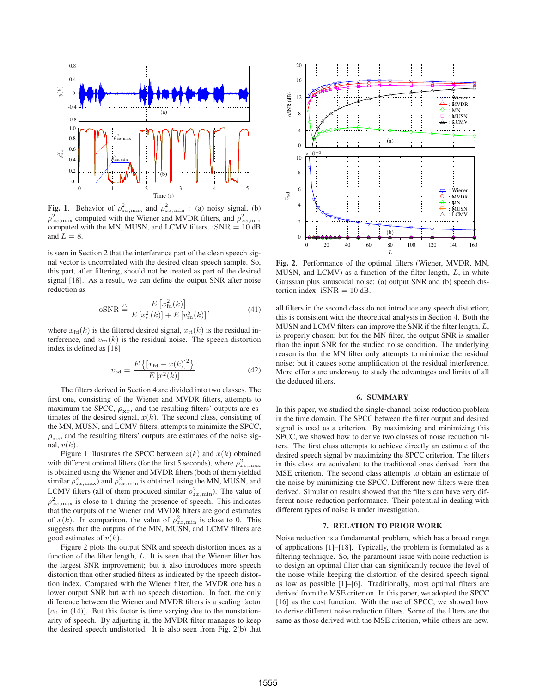

**Fig. 1**. Behavior of  $\rho_{zx,\text{max}}^2$  and  $\rho_{zx,\text{min}}^2$ : (a) noisy signal, (b)  $\rho_{zx,\text{max}}^2$  computed with the Wiener and MVDR filters, and  $\rho_{zx,\text{min}}^2$ computed with the MN, MUSN, and LCMV filters.  $iSNR = 10$  dB and  $L = 8$ .

is seen in Section 2 that the interference part of the clean speech signal vector is uncorrelated with the desired clean speech sample. So, this part, after filtering, should not be treated as part of the desired signal [18]. As a result, we can define the output SNR after noise reduction as

$$
\text{oSNR} \stackrel{\triangle}{=} \frac{E\left[x_{\text{fd}}^2(k)\right]}{E\left[x_{\text{ri}}^2(k)\right] + E\left[v_{\text{rn}}^2(k)\right]},\tag{41}
$$

where  $x_{\text{fd}}(k)$  is the filtered desired signal,  $x_{\text{ri}}(k)$  is the residual interference, and  $v_{\rm rn}(k)$  is the residual noise. The speech distortion index is defined as [18]

$$
v_{\rm sd} = \frac{E\left\{ [x_{\rm fd} - x(k)]^2 \right\}}{E\left[ x^2(k) \right]}.
$$
 (42)

The filters derived in Section 4 are divided into two classes. The first one, consisting of the Wiener and MVDR filters, attempts to maximum the SPCC,  $\rho_{xx}$ , and the resulting filters' outputs are estimates of the desired signal,  $x(k)$ . The second class, consisting of the MN, MUSN, and LCMV filters, attempts to minimize the SPCC,  $\rho_{xx}$ , and the resulting filters' outputs are estimates of the noise signal,  $v(k)$ .

Figure 1 illustrates the SPCC between  $z(k)$  and  $x(k)$  obtained with different optimal filters (for the first 5 seconds), where  $\rho_{zx,\text{max}}^2$ is obtained using the Wiener and MVDR filters (both of them yielded similar  $\rho_{zx,\text{max}}^2$ ) and  $\rho_{zx,\text{min}}^2$  is obtained using the MN, MUSN, and LCMV filters (all of them produced similar  $\rho_{zx,\text{min}}^2$ ). The value of  $\rho_{z_x,\text{max}}^2$  is close to 1 during the presence of speech. This indicates that the outputs of the Wiener and MVDR filters are good estimates of  $x(k)$ . In comparison, the value of  $\rho_{xx,\text{min}}^2$  is close to 0. This suggests that the outputs of the MN, MUSN, and LCMV filters are good estimates of  $v(k)$ .

Figure 2 plots the output SNR and speech distortion index as a function of the filter length, L. It is seen that the Wiener filter has the largest SNR improvement; but it also introduces more speech distortion than other studied filters as indicated by the speech distortion index. Compared with the Wiener filter, the MVDR one has a lower output SNR but with no speech distortion. In fact, the only difference between the Wiener and MVDR filters is a scaling factor  $[\alpha_1]$  in (14)]. But this factor is time varying due to the nonstationarity of speech. By adjusting it, the MVDR filter manages to keep the desired speech undistorted. It is also seen from Fig. 2(b) that



**Fig. 2**. Performance of the optimal filters (Wiener, MVDR, MN, MUSN, and LCMV) as a function of the filter length,  $L$ , in white Gaussian plus sinusoidal noise: (a) output SNR and (b) speech distortion index.  $iSNR = 10$  dB.

all filters in the second class do not introduce any speech distortion; this is consistent with the theoretical analysis in Section 4. Both the MUSN and LCMV filters can improve the SNR if the filter length, L, is properly chosen; but for the MN filter, the output SNR is smaller than the input SNR for the studied noise condition. The underlying reason is that the MN filter only attempts to minimize the residual noise; but it causes some amplification of the residual interference. More efforts are underway to study the advantages and limits of all the deduced filters.

#### **6. SUMMARY**

In this paper, we studied the single-channel noise reduction problem in the time domain. The SPCC between the filter output and desired signal is used as a criterion. By maximizing and minimizing this SPCC, we showed how to derive two classes of noise reduction filters. The first class attempts to achieve directly an estimate of the desired speech signal by maximizing the SPCC criterion. The filters in this class are equivalent to the traditional ones derived from the MSE criterion. The second class attempts to obtain an estimate of the noise by minimizing the SPCC. Different new filters were then derived. Simulation results showed that the filters can have very different noise reduction performance. Their potential in dealing with different types of noise is under investigation.

## **7. RELATION TO PRIOR WORK**

Noise reduction is a fundamental problem, which has a broad range of applications [1]–[18]. Typically, the problem is formulated as a filtering technique. So, the paramount issue with noise reduction is to design an optimal filter that can significantly reduce the level of the noise while keeping the distortion of the desired speech signal as low as possible [1]–[6]. Traditionally, most optimal filters are derived from the MSE criterion. In this paper, we adopted the SPCC [16] as the cost function. With the use of SPCC, we showed how to derive different noise reduction filters. Some of the filters are the same as those derived with the MSE criterion, while others are new.